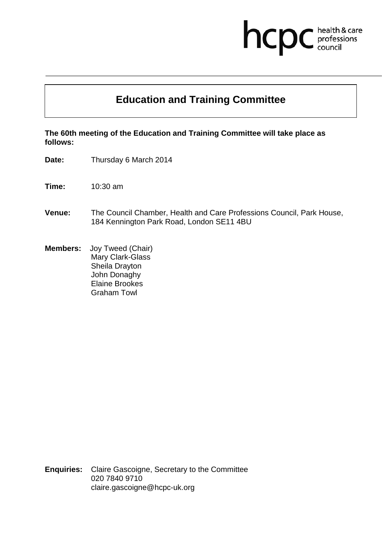# hcpc health & care<br>professions<br>council

## **Education and Training Committee**

**The 60th meeting of the Education and Training Committee will take place as follows:**

**Date:** Thursday 6 March 2014

**Time:** 10:30 am

- **Venue:** The Council Chamber, Health and Care Professions Council, Park House, 184 Kennington Park Road, London SE11 4BU
- **Members:** Joy Tweed (Chair) Mary Clark-Glass Sheila Drayton John Donaghy Elaine Brookes Graham Towl

**Enquiries:** Claire Gascoigne, Secretary to the Committee 020 7840 9710 claire.gascoigne@hcpc-uk.org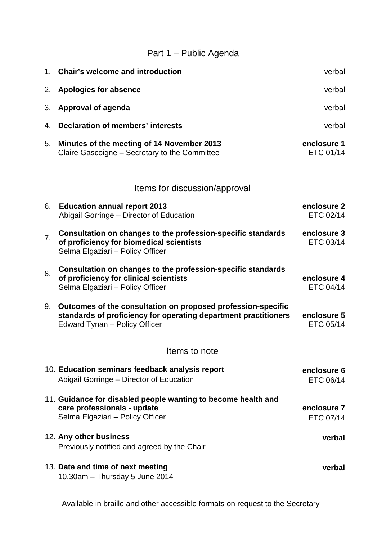## Part 1 – Public Agenda

| 1.            | <b>Chair's welcome and introduction</b>                                                                                                                          | verbal                   |
|---------------|------------------------------------------------------------------------------------------------------------------------------------------------------------------|--------------------------|
| 2.            | <b>Apologies for absence</b>                                                                                                                                     | verbal                   |
| 3.            | Approval of agenda                                                                                                                                               | verbal                   |
| 4.            | <b>Declaration of members' interests</b>                                                                                                                         | verbal                   |
| 5.            | Minutes of the meeting of 14 November 2013<br>Claire Gascoigne - Secretary to the Committee                                                                      | enclosure 1<br>ETC 01/14 |
|               | Items for discussion/approval                                                                                                                                    |                          |
| 6.            | <b>Education annual report 2013</b><br>Abigail Gorringe - Director of Education                                                                                  | enclosure 2<br>ETC 02/14 |
| 7.            | Consultation on changes to the profession-specific standards<br>of proficiency for biomedical scientists<br>Selma Elgaziari - Policy Officer                     | enclosure 3<br>ETC 03/14 |
| 8.            | Consultation on changes to the profession-specific standards<br>of proficiency for clinical scientists<br>Selma Elgaziari - Policy Officer                       | enclosure 4<br>ETC 04/14 |
| 9.            | Outcomes of the consultation on proposed profession-specific<br>standards of proficiency for operating department practitioners<br>Edward Tynan - Policy Officer | enclosure 5<br>ETC 05/14 |
| Items to note |                                                                                                                                                                  |                          |
|               | 10. Education seminars feedback analysis report<br>Abigail Gorringe - Director of Education                                                                      | enclosure 6<br>ETC 06/14 |
|               | 11. Guidance for disabled people wanting to become health and<br>care professionals - update<br>Selma Elgaziari - Policy Officer                                 | enclosure 7<br>ETC 07/14 |
|               | 12. Any other business<br>Previously notified and agreed by the Chair                                                                                            | verbal                   |
|               | 13. Date and time of next meeting<br>10.30am - Thursday 5 June 2014                                                                                              | verbal                   |

Available in braille and other accessible formats on request to the Secretary